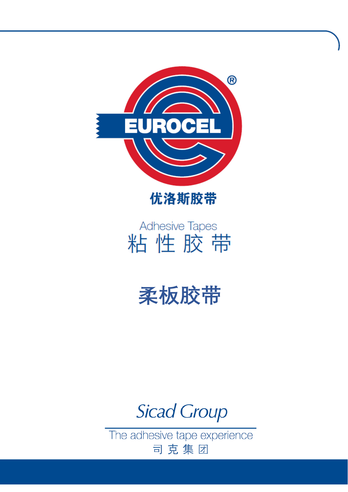



# Adhesive Tapes 粘性胶带

# **柔板胶带**

# **Sicad Group**

The adhesive tape experience 司克集团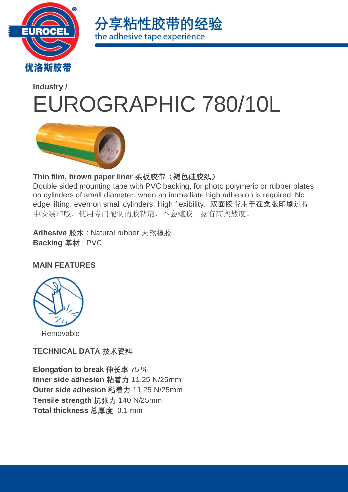



# **[Industry](https://www.eurocel.it/en/products/industry/) /** EUROGRAPHIC 780/10L



#### Thin film, brown paper liner 柔板胶带(褐色硅胶纸)

Double sided mounting tape with PVC backing, for photo polymeric or rubber plates on cylinders of small diameter, when an immediate high adhesion is required. No edge lifting, even on small cylinders. High flexibility. 双面胶带用于在柔版印刷过程 中安装印版。使用专门配制的胶粘剂,不会缠胶。据有高柔然度。

**Adhesive 胶水** : Natural rubber 天然橡胶 **Backing 基材** : PVC

#### **MAIN FEATURES**



**TECHNICAL DATA 技术资料**

**Elongation to break 伸长率** 75 % **Inner side adhesion 粘着力** 11.25 N/25mm **Outer side adhesion 粘着力** 11.25 N/25mm **Tensile strength 抗张力** 140 N/25mm **Total thickness 总厚度** 0.1 mm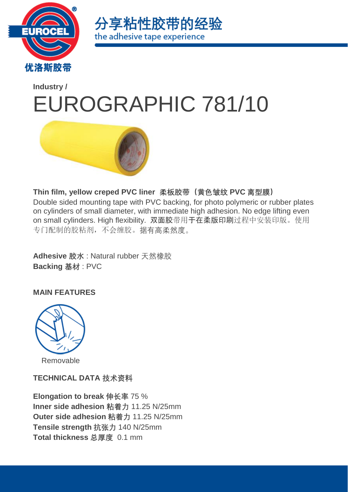



# **[Industry](https://www.eurocel.it/en/products/industry/) /** EUROGRAPHIC 781/10



**Thin film, yellow creped PVC liner 柔板胶带(黄色皱纹 PVC 离型膜)**

Double sided mounting tape with PVC backing, for photo polymeric or rubber plates on cylinders of small diameter, with immediate high adhesion. No edge lifting even on small cylinders. High flexibility. 双面胶带用于在柔版印刷过程中安装印版。使用 专门配制的胶粘剂,不会缠胶。据有高柔然度。

**Adhesive 胶水** : Natural rubber 天然橡胶 **Backing 基材** : PVC

**MAIN FEATURES**



**TECHNICAL DATA 技术资料**

**Elongation to break 伸长率** 75 % **Inner side adhesion 粘着力** 11.25 N/25mm **Outer side adhesion 粘着力** 11.25 N/25mm **Tensile strength 抗张力** 140 N/25mm **Total thickness 总厚度** 0.1 mm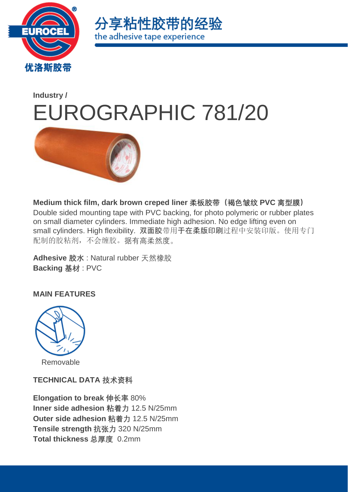



# **[Industry](https://www.eurocel.it/en/products/industry/) /** EUROGRAPHIC 781/20



**Medium thick film, dark brown creped liner 柔板胶带(褐色皱纹 PVC 离型膜)** Double sided mounting tape with PVC backing, for photo polymeric or rubber plates on small diameter cylinders. Immediate high adhesion. No edge lifting even on small cylinders. High flexibility. 双面胶带用于在柔版印刷过程中安装印版。使用专门 配制的胶粘剂,不会缠胶。据有高柔然度。

**Adhesive 胶水** : Natural rubber 天然橡胶 **Backing 基材** : PVC

**MAIN FEATURES**



Removable

**TECHNICAL DATA 技术资料**

**Elongation to break 伸长率** 80% **Inner side adhesion 粘着力** 12.5 N/25mm **Outer side adhesion 粘着力** 12.5 N/25mm **Tensile strength 抗张力** 320 N/25mm **Total thickness 总厚度** 0.2mm